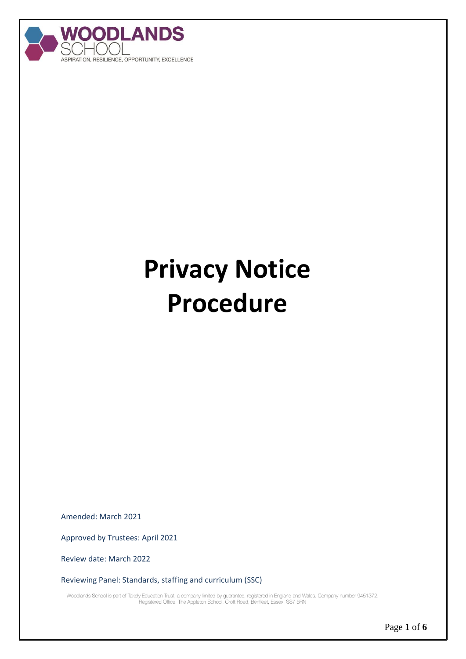

# **Privacy Notice Procedure**

Amended: March 2021

Approved by Trustees: April 2021

Review date: March 2022

Reviewing Panel: Standards, staffing and curriculum (SSC)

Woodlands School is part of Takely Education Trust, a company limited by guarantee, registered in England and Wales. Company number 9451372.<br>Registered Office: The Appleton School, Croft Road, Benfleet, Essex, SS7 5RN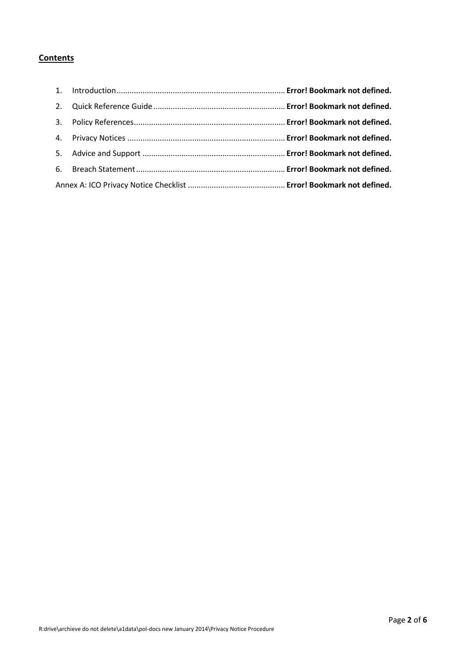### **Contents**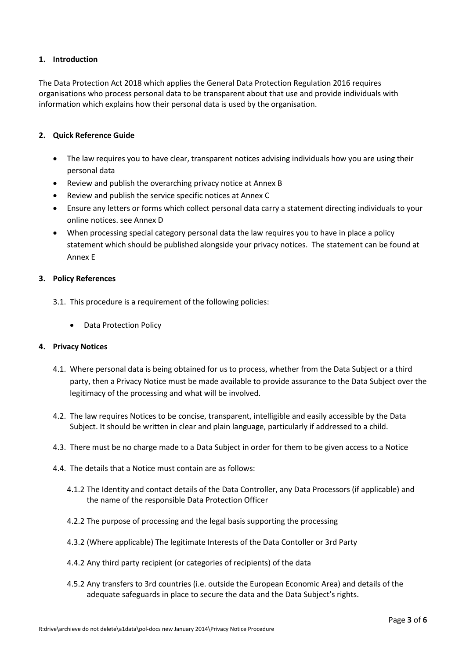#### **1. Introduction**

The Data Protection Act 2018 which applies the General Data Protection Regulation 2016 requires organisations who process personal data to be transparent about that use and provide individuals with information which explains how their personal data is used by the organisation.

#### **2. Quick Reference Guide**

- The law requires you to have clear, transparent notices advising individuals how you are using their personal data
- Review and publish the overarching privacy notice at Annex B
- Review and publish the service specific notices at Annex C
- Ensure any letters or forms which collect personal data carry a statement directing individuals to your online notices. see Annex D
- When processing special category personal data the law requires you to have in place a policy statement which should be published alongside your privacy notices. The statement can be found at Annex E

#### **3. Policy References**

- 3.1. This procedure is a requirement of the following policies:
	- Data Protection Policy

#### **4. Privacy Notices**

- 4.1. Where personal data is being obtained for us to process, whether from the Data Subject or a third party, then a Privacy Notice must be made available to provide assurance to the Data Subject over the legitimacy of the processing and what will be involved.
- 4.2. The law requires Notices to be concise, transparent, intelligible and easily accessible by the Data Subject. It should be written in clear and plain language, particularly if addressed to a child.
- 4.3. There must be no charge made to a Data Subject in order for them to be given access to a Notice
- 4.4. The details that a Notice must contain are as follows:
	- 4.1.2 The Identity and contact details of the Data Controller, any Data Processors (if applicable) and the name of the responsible Data Protection Officer
	- 4.2.2 The purpose of processing and the legal basis supporting the processing
	- 4.3.2 (Where applicable) The legitimate Interests of the Data Contoller or 3rd Party
	- 4.4.2 Any third party recipient (or categories of recipients) of the data
	- 4.5.2 Any transfers to 3rd countries (i.e. outside the European Economic Area) and details of the adequate safeguards in place to secure the data and the Data Subject's rights.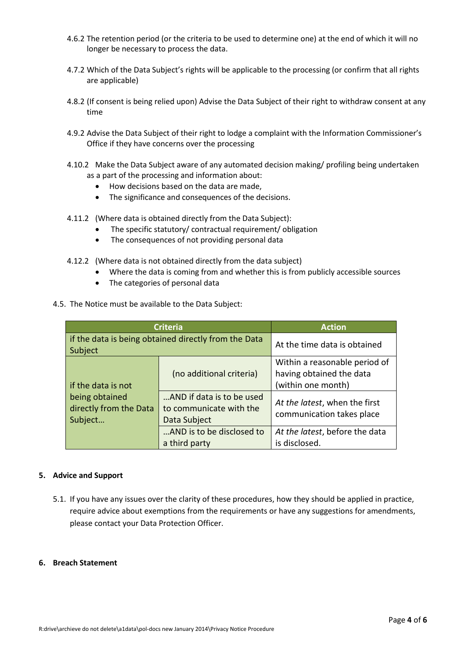- 4.6.2 The retention period (or the criteria to be used to determine one) at the end of which it will no longer be necessary to process the data.
- 4.7.2 Which of the Data Subject's rights will be applicable to the processing (or confirm that all rights are applicable)
- 4.8.2 (If consent is being relied upon) Advise the Data Subject of their right to withdraw consent at any time
- 4.9.2 Advise the Data Subject of their right to lodge a complaint with the Information Commissioner's Office if they have concerns over the processing
- 4.10.2 Make the Data Subject aware of any automated decision making/ profiling being undertaken as a part of the processing and information about:
	- How decisions based on the data are made,
	- The significance and consequences of the decisions.
- 4.11.2 (Where data is obtained directly from the Data Subject):
	- The specific statutory/ contractual requirement/ obligation
	- The consequences of not providing personal data
- 4.12.2 (Where data is not obtained directly from the data subject)
	- Where the data is coming from and whether this is from publicly accessible sources
	- The categories of personal data
- 4.5. The Notice must be available to the Data Subject:

| <b>Criteria</b>                                                 | <b>Action</b>                                                        |                                                                                 |
|-----------------------------------------------------------------|----------------------------------------------------------------------|---------------------------------------------------------------------------------|
| if the data is being obtained directly from the Data<br>Subject |                                                                      | At the time data is obtained                                                    |
| if the data is not                                              | (no additional criteria)                                             | Within a reasonable period of<br>having obtained the data<br>(within one month) |
| being obtained<br>directly from the Data<br>Subject             | AND if data is to be used<br>to communicate with the<br>Data Subject | At the latest, when the first<br>communication takes place                      |
|                                                                 | AND is to be disclosed to<br>a third party                           | At the latest, before the data<br>is disclosed.                                 |

#### **5. Advice and Support**

5.1. If you have any issues over the clarity of these procedures, how they should be applied in practice, require advice about exemptions from the requirements or have any suggestions for amendments, please contact your Data Protection Officer.

#### **6. Breach Statement**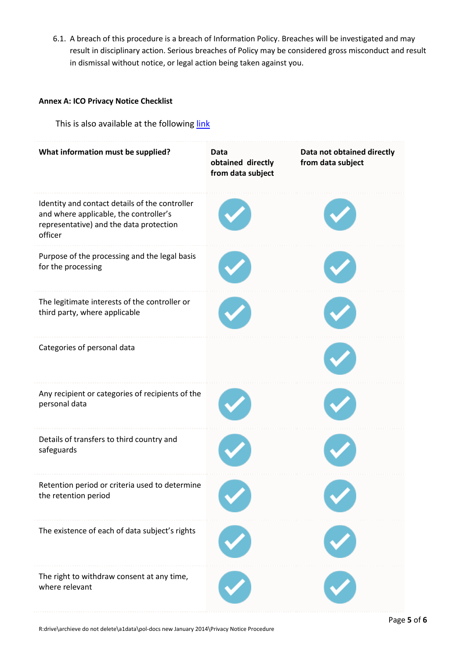6.1. A breach of this procedure is a breach of Information Policy. Breaches will be investigated and may result in disciplinary action. Serious breaches of Policy may be considered gross misconduct and result in dismissal without notice, or legal action being taken against you.

#### **Annex A: ICO Privacy Notice Checklist**

This is also available at the following [link](https://ico.org.uk/for-organisations/data-protection-reform/overview-of-the-gdpr/individuals-rights/the-right-to-be-informed/)